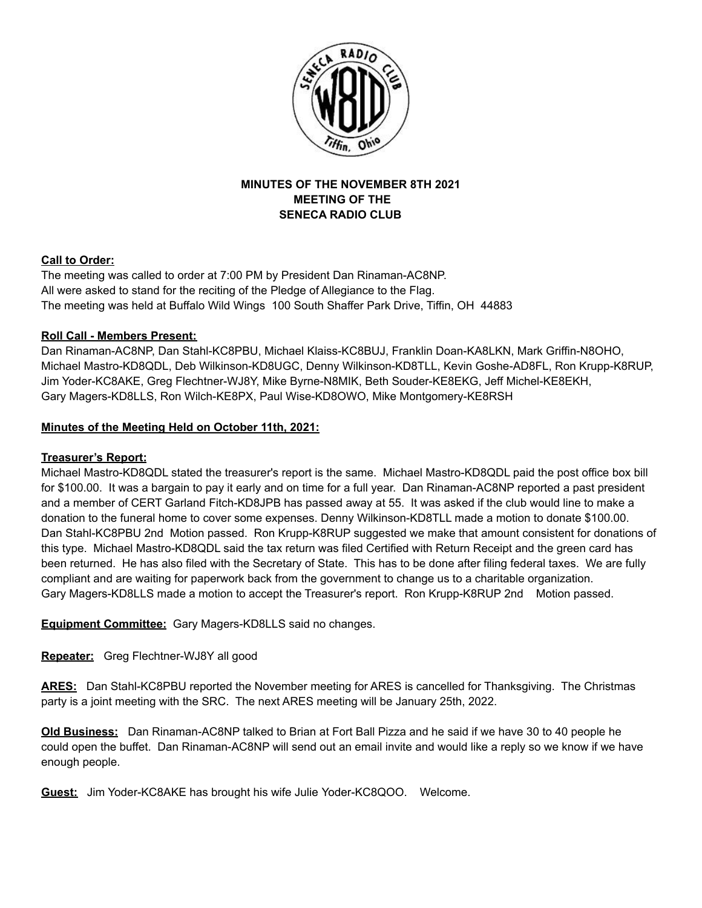

# **MINUTES OF THE NOVEMBER 8TH 2021 MEETING OF THE SENECA RADIO CLUB**

### **Call to Order:**

The meeting was called to order at 7:00 PM by President Dan Rinaman-AC8NP. All were asked to stand for the reciting of the Pledge of Allegiance to the Flag. The meeting was held at Buffalo Wild Wings 100 South Shaffer Park Drive, Tiffin, OH 44883

### **Roll Call - Members Present:**

Dan Rinaman-AC8NP, Dan Stahl-KC8PBU, Michael Klaiss-KC8BUJ, Franklin Doan-KA8LKN, Mark Griffin-N8OHO, Michael Mastro-KD8QDL, Deb Wilkinson-KD8UGC, Denny Wilkinson-KD8TLL, Kevin Goshe-AD8FL, Ron Krupp-K8RUP, Jim Yoder-KC8AKE, Greg Flechtner-WJ8Y, Mike Byrne-N8MIK, Beth Souder-KE8EKG, Jeff Michel-KE8EKH, Gary Magers-KD8LLS, Ron Wilch-KE8PX, Paul Wise-KD8OWO, Mike Montgomery-KE8RSH

### **Minutes of the Meeting Held on October 11th, 2021:**

## **Treasurer's Report:**

Michael Mastro-KD8QDL stated the treasurer's report is the same. Michael Mastro-KD8QDL paid the post office box bill for \$100.00. It was a bargain to pay it early and on time for a full year. Dan Rinaman-AC8NP reported a past president and a member of CERT Garland Fitch-KD8JPB has passed away at 55. It was asked if the club would line to make a donation to the funeral home to cover some expenses. Denny Wilkinson-KD8TLL made a motion to donate \$100.00. Dan Stahl-KC8PBU 2nd Motion passed. Ron Krupp-K8RUP suggested we make that amount consistent for donations of this type. Michael Mastro-KD8QDL said the tax return was filed Certified with Return Receipt and the green card has been returned. He has also filed with the Secretary of State. This has to be done after filing federal taxes. We are fully compliant and are waiting for paperwork back from the government to change us to a charitable organization. Gary Magers-KD8LLS made a motion to accept the Treasurer's report. Ron Krupp-K8RUP 2nd Motion passed.

**Equipment Committee:** Gary Magers-KD8LLS said no changes.

**Repeater:** Greg Flechtner-WJ8Y all good

**ARES:** Dan Stahl-KC8PBU reported the November meeting for ARES is cancelled for Thanksgiving. The Christmas party is a joint meeting with the SRC. The next ARES meeting will be January 25th, 2022.

**Old Business:** Dan Rinaman-AC8NP talked to Brian at Fort Ball Pizza and he said if we have 30 to 40 people he could open the buffet. Dan Rinaman-AC8NP will send out an email invite and would like a reply so we know if we have enough people.

**Guest:** Jim Yoder-KC8AKE has brought his wife Julie Yoder-KC8QOO. Welcome.